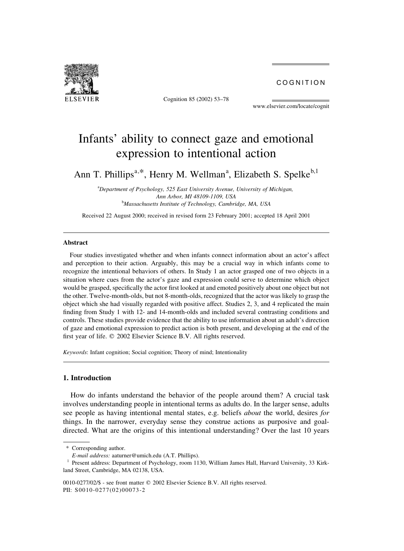## COGNITION



Cognition 85 (2002) 53–78

A.T. Phillips et al. / Cognition 85 (2002) 53–78 53

www.elsevier.com/locate/cognit

## Infants' ability to connect gaze and emotional expression to intentional action

Ann T. Phillips<sup>a,\*</sup>, Henry M. Wellman<sup>a</sup>, Elizabeth S. Spelke<sup>b,1</sup>

<sup>a</sup>Department of Psychology, 525 East University Avenue, University of Michigan, Ann Arbor, MI 48109-1109, USA <sup>b</sup>Massachusetts Institute of Technology, Cambridge, MA, USA

Received 22 August 2000; received in revised form 23 February 2001; accepted 18 April 2001

#### Abstract

Four studies investigated whether and when infants connect information about an actor's affect and perception to their action. Arguably, this may be a crucial way in which infants come to recognize the intentional behaviors of others. In Study 1 an actor grasped one of two objects in a situation where cues from the actor's gaze and expression could serve to determine which object would be grasped, specifically the actor first looked at and emoted positively about one object but not the other. Twelve-month-olds, but not 8-month-olds, recognized that the actor was likely to grasp the object which she had visually regarded with positive affect. Studies 2, 3, and 4 replicated the main finding from Study 1 with 12- and 14-month-olds and included several contrasting conditions and controls. These studies provide evidence that the ability to use information about an adult's direction of gaze and emotional expression to predict action is both present, and developing at the end of the first year of life.  $\oslash$  2002 Elsevier Science B.V. All rights reserved.

Keywords: Infant cognition; Social cognition; Theory of mind; Intentionality

## 1. Introduction

How do infants understand the behavior of the people around them? A crucial task involves understanding people in intentional terms as adults do. In the larger sense, adults see people as having intentional mental states, e.g. beliefs *about* the world, desires for things. In the narrower, everyday sense they construe actions as purposive and goaldirected. What are the origins of this intentional understanding? Over the last 10 years

<sup>\*</sup> Corresponding author.

E-mail address: aaturner@umich.edu (A.T. Phillips).

<sup>1</sup> Present address: Department of Psychology, room 1130, William James Hall, Harvard University, 33 Kirkland Street, Cambridge, MA 02138, USA.

<sup>0010-0277/02/\$ -</sup> see front matter © 2002 Elsevier Science B.V. All rights reserved. PII: S0010-0277(02)00073-2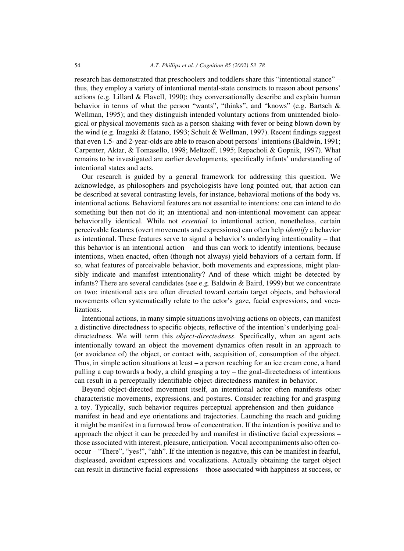research has demonstrated that preschoolers and toddlers share this "intentional stance" – thus, they employ a variety of intentional mental-state constructs to reason about persons' actions (e.g. Lillard & Flavell, 1990); they conversationally describe and explain human behavior in terms of what the person "wants", "thinks", and "knows" (e.g. Bartsch & Wellman, 1995); and they distinguish intended voluntary actions from unintended biological or physical movements such as a person shaking with fever or being blown down by the wind (e.g. Inagaki & Hatano, 1993; Schult & Wellman, 1997). Recent findings suggest that even 1.5- and 2-year-olds are able to reason about persons' intentions (Baldwin, 1991; Carpenter, Aktar, & Tomasello, 1998; Meltzoff, 1995; Repacholi & Gopnik, 1997). What remains to be investigated are earlier developments, specifically infants' understanding of intentional states and acts.

Our research is guided by a general framework for addressing this question. We acknowledge, as philosophers and psychologists have long pointed out, that action can be described at several contrasting levels, for instance, behavioral motions of the body vs. intentional actions. Behavioral features are not essential to intentions: one can intend to do something but then not do it; an intentional and non-intentional movement can appear behaviorally identical. While not *essential* to intentional action, nonetheless, certain perceivable features (overt movements and expressions) can often help identify a behavior as intentional. These features serve to signal a behavior's underlying intentionality – that this behavior is an intentional action – and thus can work to identify intentions, because intentions, when enacted, often (though not always) yield behaviors of a certain form. If so, what features of perceivable behavior, both movements and expressions, might plausibly indicate and manifest intentionality? And of these which might be detected by infants? There are several candidates (see e.g. Baldwin & Baird, 1999) but we concentrate on two: intentional acts are often directed toward certain target objects, and behavioral movements often systematically relate to the actor's gaze, facial expressions, and vocalizations.

Intentional actions, in many simple situations involving actions on objects, can manifest a distinctive directedness to specific objects, reflective of the intention's underlying goaldirectedness. We will term this *object-directedness*. Specifically, when an agent acts intentionally toward an object the movement dynamics often result in an approach to (or avoidance of) the object, or contact with, acquisition of, consumption of the object. Thus, in simple action situations at least – a person reaching for an ice cream cone, a hand pulling a cup towards a body, a child grasping a toy – the goal-directedness of intentions can result in a perceptually identifiable object-directedness manifest in behavior.

Beyond object-directed movement itself, an intentional actor often manifests other characteristic movements, expressions, and postures. Consider reaching for and grasping a toy. Typically, such behavior requires perceptual apprehension and then guidance – manifest in head and eye orientations and trajectories. Launching the reach and guiding it might be manifest in a furrowed brow of concentration. If the intention is positive and to approach the object it can be preceded by and manifest in distinctive facial expressions – those associated with interest, pleasure, anticipation. Vocal accompaniments also often cooccur – "There", "yes!", "ahh". If the intention is negative, this can be manifest in fearful, displeased, avoidant expressions and vocalizations. Actually obtaining the target object can result in distinctive facial expressions – those associated with happiness at success, or